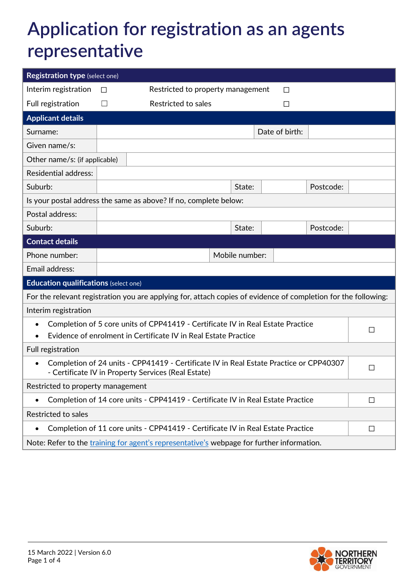## **Application for registration as an agents representative**

| <b>Registration type (select one)</b>                                                                                                                      |                                             |                     |                |        |                |           |  |
|------------------------------------------------------------------------------------------------------------------------------------------------------------|---------------------------------------------|---------------------|----------------|--------|----------------|-----------|--|
| Interim registration                                                                                                                                       | Restricted to property management<br>$\Box$ |                     |                |        |                |           |  |
| Full registration                                                                                                                                          | $\vert \ \ \vert$                           | Restricted to sales |                |        | $\Box$         |           |  |
| <b>Applicant details</b>                                                                                                                                   |                                             |                     |                |        |                |           |  |
| Surname:                                                                                                                                                   |                                             |                     |                |        | Date of birth: |           |  |
| Given name/s:                                                                                                                                              |                                             |                     |                |        |                |           |  |
| Other name/s: (if applicable)                                                                                                                              |                                             |                     |                |        |                |           |  |
| <b>Residential address:</b>                                                                                                                                |                                             |                     |                |        |                |           |  |
| Suburb:                                                                                                                                                    |                                             |                     |                | State: |                | Postcode: |  |
| Is your postal address the same as above? If no, complete below:                                                                                           |                                             |                     |                |        |                |           |  |
| Postal address:                                                                                                                                            |                                             |                     |                |        |                |           |  |
| Suburb:                                                                                                                                                    |                                             |                     |                | State: |                | Postcode: |  |
| <b>Contact details</b>                                                                                                                                     |                                             |                     |                |        |                |           |  |
| Phone number:                                                                                                                                              |                                             |                     | Mobile number: |        |                |           |  |
| Email address:                                                                                                                                             |                                             |                     |                |        |                |           |  |
| <b>Education qualifications (select one)</b>                                                                                                               |                                             |                     |                |        |                |           |  |
| For the relevant registration you are applying for, attach copies of evidence of completion for the following:                                             |                                             |                     |                |        |                |           |  |
| Interim registration                                                                                                                                       |                                             |                     |                |        |                |           |  |
| Completion of 5 core units of CPP41419 - Certificate IV in Real Estate Practice<br>□<br>Evidence of enrolment in Certificate IV in Real Estate Practice    |                                             |                     |                |        |                |           |  |
| Full registration                                                                                                                                          |                                             |                     |                |        |                |           |  |
| Completion of 24 units - CPP41419 - Certificate IV in Real Estate Practice or CPP40307<br>$\bullet$<br>- Certificate IV in Property Services (Real Estate) |                                             |                     |                | □      |                |           |  |
| Restricted to property management                                                                                                                          |                                             |                     |                |        |                |           |  |
| Completion of 14 core units - CPP41419 - Certificate IV in Real Estate Practice<br>$\Box$                                                                  |                                             |                     |                |        |                |           |  |
| Restricted to sales                                                                                                                                        |                                             |                     |                |        |                |           |  |
| Completion of 11 core units - CPP41419 - Certificate IV in Real Estate Practice<br>$\bullet$                                                               |                                             |                     |                | $\Box$ |                |           |  |
| Note: Refer to the training for agent's representative's webpage for further information.                                                                  |                                             |                     |                |        |                |           |  |

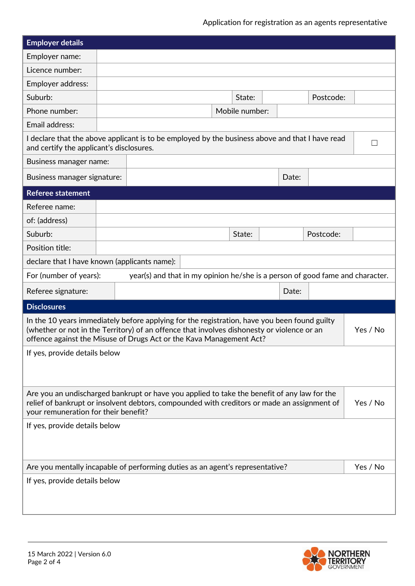| <b>Employer details</b>                                                                                                                                                                                                                                                       |  |  |  |                |          |           |  |
|-------------------------------------------------------------------------------------------------------------------------------------------------------------------------------------------------------------------------------------------------------------------------------|--|--|--|----------------|----------|-----------|--|
| Employer name:                                                                                                                                                                                                                                                                |  |  |  |                |          |           |  |
| Licence number:                                                                                                                                                                                                                                                               |  |  |  |                |          |           |  |
| Employer address:                                                                                                                                                                                                                                                             |  |  |  |                |          |           |  |
| Suburb:                                                                                                                                                                                                                                                                       |  |  |  | State:         |          | Postcode: |  |
| Phone number:                                                                                                                                                                                                                                                                 |  |  |  | Mobile number: |          |           |  |
| Email address:                                                                                                                                                                                                                                                                |  |  |  |                |          |           |  |
| I declare that the above applicant is to be employed by the business above and that I have read<br>$\Box$<br>and certify the applicant's disclosures.                                                                                                                         |  |  |  |                |          |           |  |
| Business manager name:                                                                                                                                                                                                                                                        |  |  |  |                |          |           |  |
| Business manager signature:                                                                                                                                                                                                                                                   |  |  |  |                | Date:    |           |  |
| <b>Referee statement</b>                                                                                                                                                                                                                                                      |  |  |  |                |          |           |  |
| Referee name:                                                                                                                                                                                                                                                                 |  |  |  |                |          |           |  |
| of: (address)                                                                                                                                                                                                                                                                 |  |  |  |                |          |           |  |
| Suburb:                                                                                                                                                                                                                                                                       |  |  |  | State:         |          | Postcode: |  |
| Position title:                                                                                                                                                                                                                                                               |  |  |  |                |          |           |  |
| declare that I have known (applicants name):                                                                                                                                                                                                                                  |  |  |  |                |          |           |  |
| year(s) and that in my opinion he/she is a person of good fame and character.<br>For (number of years):                                                                                                                                                                       |  |  |  |                |          |           |  |
| Referee signature:                                                                                                                                                                                                                                                            |  |  |  |                | Date:    |           |  |
| <b>Disclosures</b>                                                                                                                                                                                                                                                            |  |  |  |                |          |           |  |
| In the 10 years immediately before applying for the registration, have you been found guilty<br>(whether or not in the Territory) of an offence that involves dishonesty or violence or an<br>Yes / No<br>offence against the Misuse of Drugs Act or the Kava Management Act? |  |  |  |                |          |           |  |
| If yes, provide details below                                                                                                                                                                                                                                                 |  |  |  |                |          |           |  |
|                                                                                                                                                                                                                                                                               |  |  |  |                |          |           |  |
| Are you an undischarged bankrupt or have you applied to take the benefit of any law for the<br>relief of bankrupt or insolvent debtors, compounded with creditors or made an assignment of<br>your remuneration for their benefit?                                            |  |  |  |                | Yes / No |           |  |
| If yes, provide details below                                                                                                                                                                                                                                                 |  |  |  |                |          |           |  |
|                                                                                                                                                                                                                                                                               |  |  |  |                |          |           |  |
| Are you mentally incapable of performing duties as an agent's representative?                                                                                                                                                                                                 |  |  |  |                | Yes / No |           |  |
| If yes, provide details below                                                                                                                                                                                                                                                 |  |  |  |                |          |           |  |
|                                                                                                                                                                                                                                                                               |  |  |  |                |          |           |  |
|                                                                                                                                                                                                                                                                               |  |  |  |                |          |           |  |

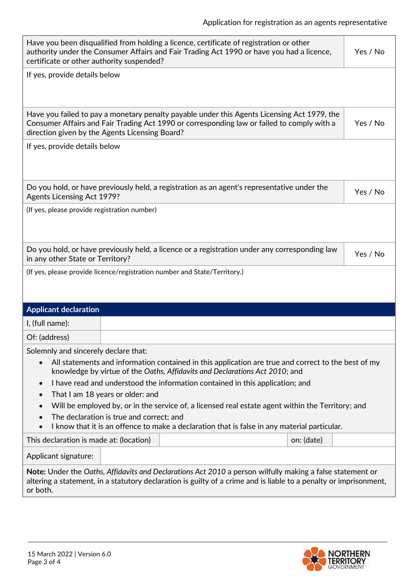| Have you been disqualified from holding a licence, certificate of registration or other<br>authority under the Consumer Affairs and Fair Trading Act 1990 or have you had a licence,<br>Yes / No<br>certificate or other authority suspended? |                                          |                                                                                                                                                                                           |            |          |  |  |
|-----------------------------------------------------------------------------------------------------------------------------------------------------------------------------------------------------------------------------------------------|------------------------------------------|-------------------------------------------------------------------------------------------------------------------------------------------------------------------------------------------|------------|----------|--|--|
| If yes, provide details below                                                                                                                                                                                                                 |                                          |                                                                                                                                                                                           |            |          |  |  |
|                                                                                                                                                                                                                                               |                                          |                                                                                                                                                                                           |            |          |  |  |
| direction given by the Agents Licensing Board?                                                                                                                                                                                                |                                          | Have you failed to pay a monetary penalty payable under this Agents Licensing Act 1979, the<br>Consumer Affairs and Fair Trading Act 1990 or corresponding law or failed to comply with a |            | Yes / No |  |  |
| If yes, provide details below                                                                                                                                                                                                                 |                                          |                                                                                                                                                                                           |            |          |  |  |
|                                                                                                                                                                                                                                               |                                          |                                                                                                                                                                                           |            |          |  |  |
| <b>Agents Licensing Act 1979?</b>                                                                                                                                                                                                             |                                          | Do you hold, or have previously held, a registration as an agent's representative under the                                                                                               |            | Yes / No |  |  |
| (If yes, please provide registration number)                                                                                                                                                                                                  |                                          |                                                                                                                                                                                           |            |          |  |  |
|                                                                                                                                                                                                                                               |                                          |                                                                                                                                                                                           |            |          |  |  |
| Do you hold, or have previously held, a licence or a registration under any corresponding law<br>Yes / No<br>in any other State or Territory?                                                                                                 |                                          |                                                                                                                                                                                           |            |          |  |  |
|                                                                                                                                                                                                                                               |                                          | (If yes, please provide licence/registration number and State/Territory.)                                                                                                                 |            |          |  |  |
|                                                                                                                                                                                                                                               |                                          |                                                                                                                                                                                           |            |          |  |  |
|                                                                                                                                                                                                                                               |                                          |                                                                                                                                                                                           |            |          |  |  |
| <b>Applicant declaration</b>                                                                                                                                                                                                                  |                                          |                                                                                                                                                                                           |            |          |  |  |
| I, (full name):                                                                                                                                                                                                                               |                                          |                                                                                                                                                                                           |            |          |  |  |
| Of: (address)                                                                                                                                                                                                                                 |                                          |                                                                                                                                                                                           |            |          |  |  |
| Solemnly and sincerely declare that:                                                                                                                                                                                                          |                                          |                                                                                                                                                                                           |            |          |  |  |
| All statements and information contained in this application are true and correct to the best of my<br>knowledge by virtue of the Oaths, Affidavits and Declarations Act 2010; and                                                            |                                          |                                                                                                                                                                                           |            |          |  |  |
| I have read and understood the information contained in this application; and<br>$\bullet$                                                                                                                                                    |                                          |                                                                                                                                                                                           |            |          |  |  |
| That I am 18 years or older: and                                                                                                                                                                                                              |                                          |                                                                                                                                                                                           |            |          |  |  |
| Will be employed by, or in the service of, a licensed real estate agent within the Territory; and                                                                                                                                             |                                          |                                                                                                                                                                                           |            |          |  |  |
|                                                                                                                                                                                                                                               | The declaration is true and correct; and | I know that it is an offence to make a declaration that is false in any material particular.                                                                                              |            |          |  |  |
| This declaration is made at: (location)                                                                                                                                                                                                       |                                          |                                                                                                                                                                                           | on: (date) |          |  |  |
| Applicant signature:                                                                                                                                                                                                                          |                                          |                                                                                                                                                                                           |            |          |  |  |
| Note: Under the Oaths, Affidavits and Declarations Act 2010 a person wilfully making a false statement or<br>altering a statement, in a statutory declaration is guilty of a crime and is liable to a penalty or imprisonment,<br>or both.    |                                          |                                                                                                                                                                                           |            |          |  |  |
|                                                                                                                                                                                                                                               |                                          |                                                                                                                                                                                           |            |          |  |  |